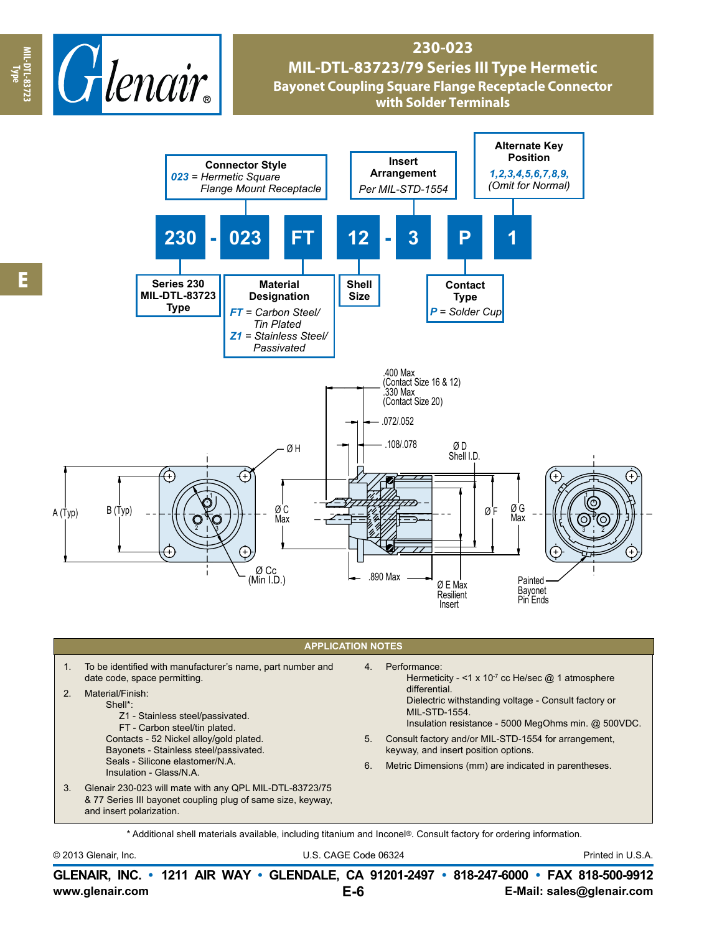

## **230-023 MIL-DTL-83723/79 Series III Type Hermetic Bayonet Coupling Square Flange Receptacle Connector with Solder Terminals**



## **APPLICATION NOTES**

- 1. To be identified with manufacturer's name, part number and date code, space permitting. 2. Material/Finish: Shell\*: Z1 - Stainless steel/passivated. 4. Performance:
	- FT Carbon steel/tin plated. Contacts - 52 Nickel alloy/gold plated. Bayonets - Stainless steel/passivated.
	- Seals Silicone elastomer/N.A. Insulation - Glass/N.A.
- 3. Glenair 230-023 will mate with any QPL MIL-DTL-83723/75 & 77 Series III bayonet coupling plug of same size, keyway, and insert polarization.
- Hermeticity <1 x 10<sup>-7</sup> cc He/sec  $@$  1 atmosphere differential. Dielectric withstanding voltage - Consult factory or MIL-STD-1554.
- Insulation resistance 5000 MegOhms min. @ 500VDC.
- 5. Consult factory and/or MIL-STD-1554 for arrangement, keyway, and insert position options.
- 6. Metric Dimensions (mm) are indicated in parentheses.

\* Additional shell materials available, including titanium and Inconel®. Consult factory for ordering information.

© 2013 Glenair, Inc. U.S. CAGE Code 06324 Printed in U.S.A.

**www.glenair.com E-Mail: sales@glenair.com GLENAIR, INC. • 1211 AIR WAY • GLENDALE, CA 91201-2497 • 818-247-6000 • FAX 818-500-9912 E-6**

**Type**